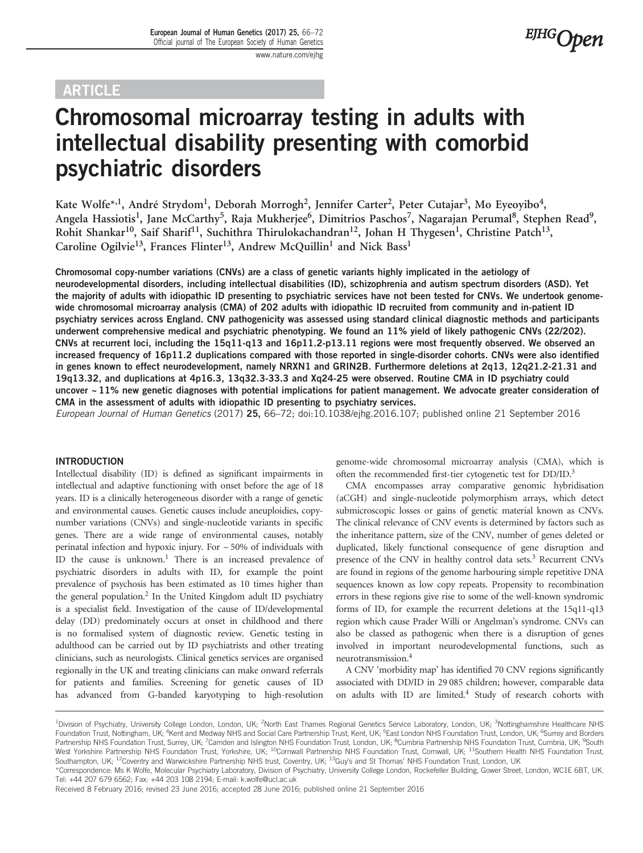## ARTICLE

# Chromosomal microarray testing in adults with intellectual disability presenting with comorbid psychiatric disorders

Kate Wolfe<sup>\*,1</sup>, André Strydom<sup>1</sup>, Deborah Morrogh<sup>2</sup>, Jennifer Carter<sup>2</sup>, Peter Cutajar<sup>3</sup>, Mo Eyeoyibo<sup>4</sup>, Angela Hassiotis<sup>1</sup>, Jane McCarthy<sup>5</sup>, Raja Mukherjee<sup>6</sup>, Dimitrios Paschos<sup>7</sup>, Nagarajan Perumal<sup>8</sup>, Stephen Read<sup>9</sup>, Rohit Shankar<sup>10</sup>, Saif Sharif<sup>11</sup>, Suchithra Thirulokachandran<sup>12</sup>, Johan H Thygesen<sup>1</sup>, Christine Patch<sup>13</sup>, Caroline Ogilvie<sup>13</sup>, Frances Flinter<sup>13</sup>, Andrew McQuillin<sup>1</sup> and Nick Bass<sup>1</sup>

Chromosomal copy-number variations (CNVs) are a class of genetic variants highly implicated in the aetiology of neurodevelopmental disorders, including intellectual disabilities (ID), schizophrenia and autism spectrum disorders (ASD). Yet the majority of adults with idiopathic ID presenting to psychiatric services have not been tested for CNVs. We undertook genomewide chromosomal microarray analysis (CMA) of 202 adults with idiopathic ID recruited from community and in-patient ID psychiatry services across England. CNV pathogenicity was assessed using standard clinical diagnostic methods and participants underwent comprehensive medical and psychiatric phenotyping. We found an 11% yield of likely pathogenic CNVs (22/202). CNVs at recurrent loci, including the 15q11-q13 and 16p11.2-p13.11 regions were most frequently observed. We observed an increased frequency of 16p11.2 duplications compared with those reported in single-disorder cohorts. CNVs were also identified in genes known to effect neurodevelopment, namely NRXN1 and GRIN2B. Furthermore deletions at 2q13, 12q21.2-21.31 and 19q13.32, and duplications at 4p16.3, 13q32.3-33.3 and Xq24-25 were observed. Routine CMA in ID psychiatry could uncover  $\sim$  11% new genetic diagnoses with potential implications for patient management. We advocate greater consideration of CMA in the assessment of adults with idiopathic ID presenting to psychiatry services.

European Journal of Human Genetics (2017) 25, 66–72; doi[:10.1038/ejhg.2016.107;](http://dx.doi.org/10.1038/ejhg.2016.107) published online 21 September 2016

#### INTRODUCTION

Intellectual disability (ID) is defined as significant impairments in intellectual and adaptive functioning with onset before the age of 18 years. ID is a clinically heterogeneous disorder with a range of genetic and environmental causes. Genetic causes include aneuploidies, copynumber variations (CNVs) and single-nucleotide variants in specific genes. There are a wide range of environmental causes, notably perinatal infection and hypoxic injury. For  $\sim$  50% of individuals with ID the cause is unknown.<sup>1</sup> There is an increased prevalence of psychiatric disorders in adults with ID, for example the point prevalence of psychosis has been estimated as 10 times higher than the general population.<sup>2</sup> In the United Kingdom adult ID psychiatry is a specialist field. Investigation of the cause of ID/developmental delay (DD) predominately occurs at onset in childhood and there is no formalised system of diagnostic review. Genetic testing in adulthood can be carried out by ID psychiatrists and other treating clinicians, such as neurologists. Clinical genetics services are organised regionally in the UK and treating clinicians can make onward referrals for patients and families. Screening for genetic causes of ID has advanced from G-banded karyotyping to high-resolution

genome-wide chromosomal microarray analysis (CMA), which is often the recommended first-tier cytogenetic test for DD/ID.<sup>[3](#page-5-0)</sup>

**EJHG**Open

CMA encompasses array comparative genomic hybridisation (aCGH) and single-nucleotide polymorphism arrays, which detect submicroscopic losses or gains of genetic material known as CNVs. The clinical relevance of CNV events is determined by factors such as the inheritance pattern, size of the CNV, number of genes deleted or duplicated, likely functional consequence of gene disruption and presence of the CNV in healthy control data sets.<sup>3</sup> Recurrent CNVs are found in regions of the genome harbouring simple repetitive DNA sequences known as low copy repeats. Propensity to recombination errors in these regions give rise to some of the well-known syndromic forms of ID, for example the recurrent deletions at the 15q11-q13 region which cause Prader Willi or Angelman's syndrome. CNVs can also be classed as pathogenic when there is a disruption of genes involved in important neurodevelopmental functions, such as neurotransmission.[4](#page-5-0)

A CNV 'morbidity map' has identified 70 CNV regions significantly associated with DD/ID in 29 085 children; however, comparable data on adults with ID are limited. $4$  Study of research cohorts with

<sup>&</sup>lt;sup>1</sup>Division of Psychiatry, University College London, London, UK; <sup>2</sup>North East Thames Regional Genetics Service Laboratory, London, UK; <sup>3</sup>Nottinghamshire Healthcare NHS Foundation Trust, Nottingham, UK; <sup>4</sup>Kent and Medway NHS and Social Care Partnership Trust, Kent, UK; <sup>5</sup>East London NHS Foundation Trust, London, UK; <sup>6</sup>Surrey and Borders Partnership NHS Foundation Trust, Surrey, UK; <sup>7</sup>Camden and Islington NHS Foundation Trust, London, UK; <sup>8</sup>Cumbria Partnership NHS Foundation Trust, Cumbria, UK; <sup>9</sup>South West Yorkshire Partnership NHS Foundation Trust, Yorkshire, UK; <sup>10</sup>Cornwall Partnership NHS Foundation Trust, Cornwall, UK; <sup>11</sup>Southern Health NHS Foundation Trust, Southampton, UK; <sup>12</sup>Coventry and Warwickshire Partnership NHS trust, Coventry, UK; <sup>13</sup>Guy's and St Thomas' NHS Foundation Trust, London, UK

<sup>\*</sup>Correspondence: Ms K Wolfe, Molecular Psychiatry Laboratory, Division of Psychiatry, University College London, Rockefeller Building, Gower Street, London, WC1E 6BT, UK. Tel: +44 207 679 6562; Fax: +44 203 108 2194; E-mail: [k.wolfe@ucl.ac.uk](mailto:k.wolfe@ucl.ac.uk)

Received 8 February 2016; revised 23 June 2016; accepted 28 June 2016; published online 21 September 2016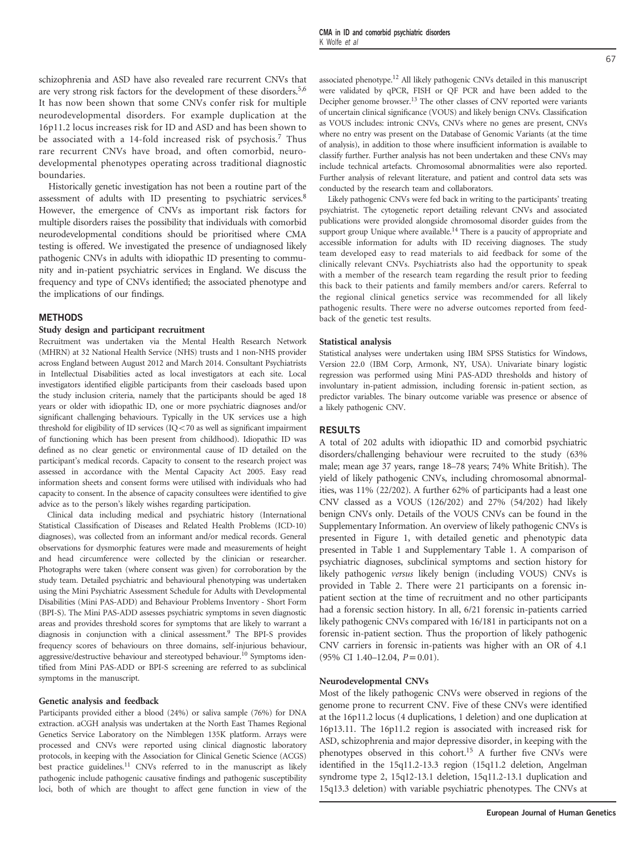schizophrenia and ASD have also revealed rare recurrent CNVs that are very strong risk factors for the development of these disorders.<sup>5,[6](#page-5-0)</sup> It has now been shown that some CNVs confer risk for multiple neurodevelopmental disorders. For example duplication at the 16p11.2 locus increases risk for ID and ASD and has been shown to be associated with a 14-fold increased risk of psychosis.<sup>[7](#page-5-0)</sup> Thus rare recurrent CNVs have broad, and often comorbid, neurodevelopmental phenotypes operating across traditional diagnostic boundaries.

Historically genetic investigation has not been a routine part of the assessment of adults with ID presenting to psychiatric services.[8](#page-5-0) However, the emergence of CNVs as important risk factors for multiple disorders raises the possibility that individuals with comorbid neurodevelopmental conditions should be prioritised where CMA testing is offered. We investigated the presence of undiagnosed likely pathogenic CNVs in adults with idiopathic ID presenting to community and in-patient psychiatric services in England. We discuss the frequency and type of CNVs identified; the associated phenotype and the implications of our findings.

#### METHODS

#### Study design and participant recruitment

Recruitment was undertaken via the Mental Health Research Network (MHRN) at 32 National Health Service (NHS) trusts and 1 non-NHS provider across England between August 2012 and March 2014. Consultant Psychiatrists in Intellectual Disabilities acted as local investigators at each site. Local investigators identified eligible participants from their caseloads based upon the study inclusion criteria, namely that the participants should be aged 18 years or older with idiopathic ID, one or more psychiatric diagnoses and/or significant challenging behaviours. Typically in the UK services use a high threshold for eligibility of ID services (IQ $<$ 70 as well as significant impairment of functioning which has been present from childhood). Idiopathic ID was defined as no clear genetic or environmental cause of ID detailed on the participant's medical records. Capacity to consent to the research project was assessed in accordance with the Mental Capacity Act 2005. Easy read information sheets and consent forms were utilised with individuals who had capacity to consent. In the absence of capacity consultees were identified to give advice as to the person's likely wishes regarding participation.

Clinical data including medical and psychiatric history (International Statistical Classification of Diseases and Related Health Problems (ICD-10) diagnoses), was collected from an informant and/or medical records. General observations for dysmorphic features were made and measurements of height and head circumference were collected by the clinician or researcher. Photographs were taken (where consent was given) for corroboration by the study team. Detailed psychiatric and behavioural phenotyping was undertaken using the Mini Psychiatric Assessment Schedule for Adults with Developmental Disabilities (Mini PAS-ADD) and Behaviour Problems Inventory - Short Form (BPI-S). The Mini PAS-ADD assesses psychiatric symptoms in seven diagnostic areas and provides threshold scores for symptoms that are likely to warrant a diagnosis in conjunction with a clinical assessment.[9](#page-5-0) The BPI-S provides frequency scores of behaviours on three domains, self-injurious behaviour, aggressive/destructive behaviour and stereotyped behaviour.<sup>[10](#page-5-0)</sup> Symptoms identified from Mini PAS-ADD or BPI-S screening are referred to as subclinical symptoms in the manuscript.

#### Genetic analysis and feedback

Participants provided either a blood (24%) or saliva sample (76%) for DNA extraction. aCGH analysis was undertaken at the North East Thames Regional Genetics Service Laboratory on the Nimblegen 135K platform. Arrays were processed and CNVs were reported using clinical diagnostic laboratory protocols, in keeping with the Association for Clinical Genetic Science (ACGS) best practice guidelines.<sup>11</sup> CNVs referred to in the manuscript as likely pathogenic include pathogenic causative findings and pathogenic susceptibility loci, both of which are thought to affect gene function in view of the

associated phenotype.[12](#page-5-0) All likely pathogenic CNVs detailed in this manuscript were validated by qPCR, FISH or OF PCR and have been added to the Decipher genome browser.<sup>[13](#page-5-0)</sup> The other classes of CNV reported were variants of uncertain clinical significance (VOUS) and likely benign CNVs. Classification as VOUS includes: intronic CNVs, CNVs where no genes are present, CNVs where no entry was present on the Database of Genomic Variants (at the time of analysis), in addition to those where insufficient information is available to classify further. Further analysis has not been undertaken and these CNVs may include technical artefacts. Chromosomal abnormalities were also reported. Further analysis of relevant literature, and patient and control data sets was conducted by the research team and collaborators.

Likely pathogenic CNVs were fed back in writing to the participants' treating psychiatrist. The cytogenetic report detailing relevant CNVs and associated publications were provided alongside chromosomal disorder guides from the support group Unique where available.<sup>[14](#page-5-0)</sup> There is a paucity of appropriate and accessible information for adults with ID receiving diagnoses. The study team developed easy to read materials to aid feedback for some of the clinically relevant CNVs. Psychiatrists also had the opportunity to speak with a member of the research team regarding the result prior to feeding this back to their patients and family members and/or carers. Referral to the regional clinical genetics service was recommended for all likely pathogenic results. There were no adverse outcomes reported from feedback of the genetic test results.

#### Statistical analysis

Statistical analyses were undertaken using IBM SPSS Statistics for Windows, Version 22.0 (IBM Corp, Armonk, NY, USA). Univariate binary logistic regression was performed using Mini PAS-ADD thresholds and history of involuntary in-patient admission, including forensic in-patient section, as predictor variables. The binary outcome variable was presence or absence of a likely pathogenic CNV.

#### RESULTS

A total of 202 adults with idiopathic ID and comorbid psychiatric disorders/challenging behaviour were recruited to the study (63% male; mean age 37 years, range 18–78 years; 74% White British). The yield of likely pathogenic CNVs, including chromosomal abnormalities, was 11% (22/202). A further 62% of participants had a least one CNV classed as a VOUS (126/202) and 27% (54/202) had likely benign CNVs only. Details of the VOUS CNVs can be found in the Supplementary Information. An overview of likely pathogenic CNVs is presented in [Figure 1](#page-2-0), with detailed genetic and phenotypic data presented in [Table 1](#page-3-0) and Supplementary Table 1. A comparison of psychiatric diagnoses, subclinical symptoms and section history for likely pathogenic versus likely benign (including VOUS) CNVs is provided in [Table 2](#page-4-0). There were 21 participants on a forensic inpatient section at the time of recruitment and no other participants had a forensic section history. In all, 6/21 forensic in-patients carried likely pathogenic CNVs compared with 16/181 in participants not on a forensic in-patient section. Thus the proportion of likely pathogenic CNV carriers in forensic in-patients was higher with an OR of 4.1  $(95\% \text{ CI } 1.40 - 12.04, P = 0.01).$ 

#### Neurodevelopmental CNVs

Most of the likely pathogenic CNVs were observed in regions of the genome prone to recurrent CNV. Five of these CNVs were identified at the 16p11.2 locus (4 duplications, 1 deletion) and one duplication at 16p13.11. The 16p11.2 region is associated with increased risk for ASD, schizophrenia and major depressive disorder, in keeping with the phenotypes observed in this cohort[.15](#page-5-0) A further five CNVs were identified in the 15q11.2-13.3 region (15q11.2 deletion, Angelman syndrome type 2, 15q12-13.1 deletion, 15q11.2-13.1 duplication and 15q13.3 deletion) with variable psychiatric phenotypes. The CNVs at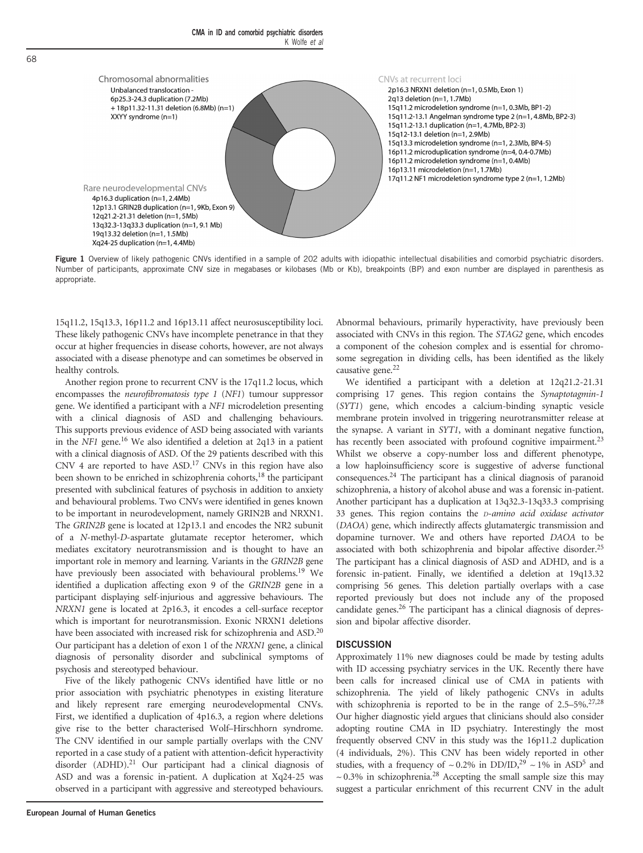<span id="page-2-0"></span>

Figure 1 Overview of likely pathogenic CNVs identified in a sample of 202 adults with idiopathic intellectual disabilities and comorbid psychiatric disorders. Number of participants, approximate CNV size in megabases or kilobases (Mb or Kb), breakpoints (BP) and exon number are displayed in parenthesis as appropriate.

15q11.2, 15q13.3, 16p11.2 and 16p13.11 affect neurosusceptibility loci. These likely pathogenic CNVs have incomplete penetrance in that they occur at higher frequencies in disease cohorts, however, are not always associated with a disease phenotype and can sometimes be observed in healthy controls.

Another region prone to recurrent CNV is the 17q11.2 locus, which encompasses the neurofibromatosis type 1 (NF1) tumour suppressor gene. We identified a participant with a NF1 microdeletion presenting with a clinical diagnosis of ASD and challenging behaviours. This supports previous evidence of ASD being associated with variants in the NF1 gene.<sup>16</sup> We also identified a deletion at 2q13 in a patient with a clinical diagnosis of ASD. Of the 29 patients described with this CNV 4 are reported to have ASD[.17](#page-5-0) CNVs in this region have also been shown to be enriched in schizophrenia cohorts,<sup>[18](#page-5-0)</sup> the participant presented with subclinical features of psychosis in addition to anxiety and behavioural problems. Two CNVs were identified in genes known to be important in neurodevelopment, namely GRIN2B and NRXN1. The GRIN2B gene is located at 12p13.1 and encodes the NR2 subunit of a N-methyl-D-aspartate glutamate receptor heteromer, which mediates excitatory neurotransmission and is thought to have an important role in memory and learning. Variants in the GRIN2B gene have previously been associated with behavioural problems.<sup>19</sup> We identified a duplication affecting exon 9 of the GRIN2B gene in a participant displaying self-injurious and aggressive behaviours. The NRXN1 gene is located at 2p16.3, it encodes a cell-surface receptor which is important for neurotransmission. Exonic NRXN1 deletions have been associated with increased risk for schizophrenia and ASD.<sup>20</sup> Our participant has a deletion of exon 1 of the NRXN1 gene, a clinical diagnosis of personality disorder and subclinical symptoms of psychosis and stereotyped behaviour.

Five of the likely pathogenic CNVs identified have little or no prior association with psychiatric phenotypes in existing literature and likely represent rare emerging neurodevelopmental CNVs. First, we identified a duplication of 4p16.3, a region where deletions give rise to the better characterised Wolf–Hirschhorn syndrome. The CNV identified in our sample partially overlaps with the CNV reported in a case study of a patient with attention-deficit hyperactivity disorder (ADHD).<sup>[21](#page-5-0)</sup> Our participant had a clinical diagnosis of ASD and was a forensic in-patient. A duplication at Xq24-25 was observed in a participant with aggressive and stereotyped behaviours.

Abnormal behaviours, primarily hyperactivity, have previously been associated with CNVs in this region. The STAG2 gene, which encodes a component of the cohesion complex and is essential for chromosome segregation in dividing cells, has been identified as the likely causative gene.<sup>[22](#page-5-0)</sup>

We identified a participant with a deletion at 12q21.2-21.31 comprising 17 genes. This region contains the Synaptotagmin-1 (SYT1) gene, which encodes a calcium-binding synaptic vesicle membrane protein involved in triggering neurotransmitter release at the synapse. A variant in SYT1, with a dominant negative function, has recently been associated with profound cognitive impairment.<sup>23</sup> Whilst we observe a copy-number loss and different phenotype, a low haploinsufficiency score is suggestive of adverse functional consequences[.24](#page-5-0) The participant has a clinical diagnosis of paranoid schizophrenia, a history of alcohol abuse and was a forensic in-patient. Another participant has a duplication at 13q32.3-13q33.3 comprising 33 genes. This region contains the D-amino acid oxidase activator (DAOA) gene, which indirectly affects glutamatergic transmission and dopamine turnover. We and others have reported DAOA to be associated with both schizophrenia and bipolar affective disorder.<sup>25</sup> The participant has a clinical diagnosis of ASD and ADHD, and is a forensic in-patient. Finally, we identified a deletion at 19q13.32 comprising 56 genes. This deletion partially overlaps with a case reported previously but does not include any of the proposed candidate genes.<sup>26</sup> The participant has a clinical diagnosis of depression and bipolar affective disorder.

#### **DISCUSSION**

Approximately 11% new diagnoses could be made by testing adults with ID accessing psychiatry services in the UK. Recently there have been calls for increased clinical use of CMA in patients with schizophrenia. The yield of likely pathogenic CNVs in adults with schizophrenia is reported to be in the range of 2.5–5%[.27,28](#page-6-0) Our higher diagnostic yield argues that clinicians should also consider adopting routine CMA in ID psychiatry. Interestingly the most frequently observed CNV in this study was the 16p11.2 duplication (4 individuals, 2%). This CNV has been widely reported in other studies, with a frequency of  $\sim 0.2\%$  in DD/ID,<sup>29</sup>  $\sim 1\%$  in ASD<sup>[5](#page-5-0)</sup> and  $\sim 0.3\%$  in schizophrenia.<sup>[28](#page-6-0)</sup> Accepting the small sample size this may suggest a particular enrichment of this recurrent CNV in the adult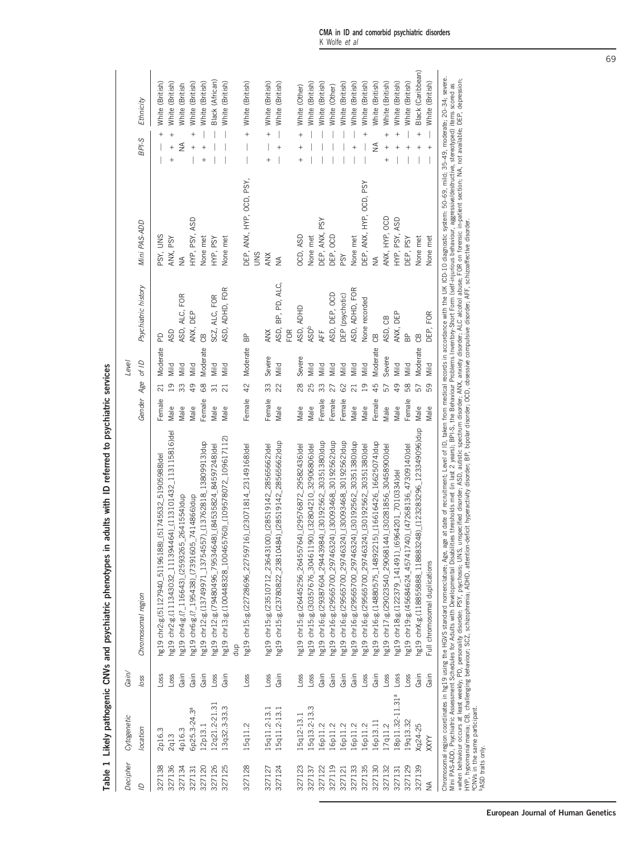<span id="page-3-0"></span>

| Decipher         | Ortogenetic                    | Gain/             |                                                                                   |                                                                                                                                                                                                                                                                                                                                                                                                                                                                                                                                                                                                                                         |                  | Level                   |                      |                                 |                                                     |
|------------------|--------------------------------|-------------------|-----------------------------------------------------------------------------------|-----------------------------------------------------------------------------------------------------------------------------------------------------------------------------------------------------------------------------------------------------------------------------------------------------------------------------------------------------------------------------------------------------------------------------------------------------------------------------------------------------------------------------------------------------------------------------------------------------------------------------------------|------------------|-------------------------|----------------------|---------------------------------|-----------------------------------------------------|
| $\overline{a}$   | location                       | loss              | Chromosomal region                                                                |                                                                                                                                                                                                                                                                                                                                                                                                                                                                                                                                                                                                                                         | Gender Age of ID |                         | Psychiatric history  | Mini PAS-ADD                    | Ethnicity<br>BPI-S                                  |
| 327138           | 2p16.3                         | $-055$            | 19611 <sub>2-940</sub> 51127940 511961                                            | 88) (51745532 51905988) del                                                                                                                                                                                                                                                                                                                                                                                                                                                                                                                                                                                                             | Female           |                         | PD<br>Moderate       | PSY, UNS                        | White (British)<br>$\ddot{}$                        |
| 327136           | <b>2q13</b>                    | $L$ <sub>05</sub> |                                                                                   | ng19 chr2:g.(111343032_111394464)_(1113101432_113115816)del                                                                                                                                                                                                                                                                                                                                                                                                                                                                                                                                                                             | Male             | Mild<br>ഉ               | <b>ASD</b>           | ANX, PSY                        | White (British)<br>$^{+}$<br>$^{+}$                 |
| 327134           | 4p16.3                         | Gain              |                                                                                   | ng19 chr4:g.(?_116643)_(2593265_2641554)dup                                                                                                                                                                                                                                                                                                                                                                                                                                                                                                                                                                                             | Male             | Mild<br>33              | ASD, ALC, FOR        | $\frac{1}{2}$                   | White (British<br>≨                                 |
| 327131           | бр25.3-24.3 <sup>а</sup>       | Gain              |                                                                                   | g19 chr6:g.(?_195438)_(7391605_7414866)dup                                                                                                                                                                                                                                                                                                                                                                                                                                                                                                                                                                                              | Male             | Mild<br>$\overline{49}$ | ANX, DEP             | PSY, ASD<br>HYP,                | White (British)<br>$\ddot{}$                        |
| 327120           | 12p13.1                        | Gain              |                                                                                   | g19 chr12:g.(13749971_13754557)_(13762818_13809913)dup                                                                                                                                                                                                                                                                                                                                                                                                                                                                                                                                                                                  | Female           | 68                      | 8C<br>Moderate       | None met                        | <b>Nhite</b> (British)<br>$^{+}$                    |
| 327126           | 12q21.2-21.31                  | $L$ <sub>05</sub> |                                                                                   | ng19 chr12:g.(79480496_79534648)_(84535824_84597248)del                                                                                                                                                                                                                                                                                                                                                                                                                                                                                                                                                                                 | Male             | Mild<br>$\overline{31}$ | SCZ, ALC, FOR        | PSY<br>HYP;                     | Black (African)                                     |
| 327125           | 13q32.3-33.3                   | Gain              | dup                                                                               | ng19 chr13:g(100448328_100465760)_(109578072_109617112)                                                                                                                                                                                                                                                                                                                                                                                                                                                                                                                                                                                 | Male             | Mild<br>ដ               | ASD, ADHD, FOR       | None met                        | White (British)                                     |
| 327128           | 15q11.2                        | $L$ <sub>05</sub> |                                                                                   | hg19 chr15:g.(22728696_22759716)_(23071814_23149168)del                                                                                                                                                                                                                                                                                                                                                                                                                                                                                                                                                                                 | Female           | 42                      | 9B<br>Moderate       | DEP, ANX, HYP, OCD, PSY,<br>SNN | White (British)<br>$^{+}$                           |
| 327127           | 15q11.2-13.1                   | $L$ <sub>05</sub> |                                                                                   | hg19 chr15:g.(23510712_23643100)_(28519142_28565662)del                                                                                                                                                                                                                                                                                                                                                                                                                                                                                                                                                                                 | Female           | 33                      | <b>ANX</b><br>Severe | ANX                             | White (British)<br>$^{+}$<br>$^{+}$                 |
| 327124           | 15q11.2-13.1                   | Gain              |                                                                                   | hg19 chr15:g.(23780822_23810484)_(28519142_28565662)dup                                                                                                                                                                                                                                                                                                                                                                                                                                                                                                                                                                                 | Male             | Mild<br>22              | ASD, BP, PD, ALC,    | $\frac{1}{2}$                   | White (British)<br>$^{+}$                           |
|                  |                                |                   |                                                                                   |                                                                                                                                                                                                                                                                                                                                                                                                                                                                                                                                                                                                                                         |                  |                         | FOR                  |                                 |                                                     |
| 327123           | L5q12-13.1                     | $L$ <sub>05</sub> |                                                                                   | ng19 chr15:g.(26445256_26455764)_(29576872_29582436)del                                                                                                                                                                                                                                                                                                                                                                                                                                                                                                                                                                                 | Male             | 28                      | ASD, ADHD<br>Severe  | OCD, ASD                        | White (Other)<br>$^{+}$<br>$^{+}$                   |
| 327137           | 5q13.2-13.3                    | $L$ oss           |                                                                                   | ng19 chr15:g.(30357676_30461190)_(32804210_32906806)del                                                                                                                                                                                                                                                                                                                                                                                                                                                                                                                                                                                 | Male             | Mild<br>25              | <b>ASDb</b>          | None met                        | White (British)                                     |
| 327122           | L6p11.2                        | Gain              |                                                                                   | g19 chr16:g(29387604_29443984)_(30192562_30351380)dup                                                                                                                                                                                                                                                                                                                                                                                                                                                                                                                                                                                   | Female           | Viid<br>33              | AFF                  | PSY<br>DEP, ANX,                | White (British)                                     |
| 327119           | L6p11.2                        | Gain              |                                                                                   | g19 chr16:g.(29565700_29746324)_(30093468_30192562)dup                                                                                                                                                                                                                                                                                                                                                                                                                                                                                                                                                                                  | Female           | Mild<br>27              | ASD, DEP, OCD        | <b>OCD</b><br>DEP,              | White (Other)                                       |
| 327121           | 16p11.2                        | Gain              |                                                                                   | ng19 chr16:g.(29565700_29746324)_(30093468_30192562)dup                                                                                                                                                                                                                                                                                                                                                                                                                                                                                                                                                                                 | Female           | Mild<br>3               | DEP (psychotic)      | PSY                             | White (British)                                     |
| 327133           | L6p11.2                        | Gain              |                                                                                   | ng19 chr16:g.(29565700_29746324)_(30192562_30351380)dup                                                                                                                                                                                                                                                                                                                                                                                                                                                                                                                                                                                 | Male             | Mild<br>$\overline{c}$  | ASD, ADHD, FOR       | None met                        | White (British)<br>$^{+}$                           |
| 327135           | L6p11.2                        | $L$ oss           |                                                                                   | ng19 chr16:g.(29565700_29746324)_(30192562_30351380)del                                                                                                                                                                                                                                                                                                                                                                                                                                                                                                                                                                                 | Male             | Mild<br>$\overline{0}$  | None recorded        | DEP, ANX, HYP, OCD, PSY         | White (British)<br>$\ddot{}$                        |
| 327130           | 16p13.11                       | Gain              |                                                                                   | ng19 chr16:g.(14880575_14892215)_(16616426_16625074)dup                                                                                                                                                                                                                                                                                                                                                                                                                                                                                                                                                                                 | Female           | 45                      | 6B<br>Moderate       | $\frac{4}{2}$                   | White (British)<br>₹                                |
| 327132           | [7q11.2]                       | $L$ <sub>05</sub> |                                                                                   |                                                                                                                                                                                                                                                                                                                                                                                                                                                                                                                                                                                                                                         | Male             | 57                      | ASD, CB<br>Severe    | ANX, HYP, OCD                   | Mhite (British)<br>$\ddot{}$<br>$\ddot{}$<br>$^{+}$ |
| 327131           | 18p11.32-11.31ª                | $L$ <sub>05</sub> | g19 chr18:g(122379_141491)                                                        | $-6964201 - 7010334$ del                                                                                                                                                                                                                                                                                                                                                                                                                                                                                                                                                                                                                | Male             | Mild<br>$\overline{4}$  | ANX, DEP             | PSY, ASD<br>HYP, I              | White (British)<br>$\ddot{}$<br>$\ddot{}$           |
| 327129           | 19q13.32                       | $L$ <sub>05</sub> | g19 chr19:g.(45684624_45741                                                       | 1740) (47268136 47309140) del                                                                                                                                                                                                                                                                                                                                                                                                                                                                                                                                                                                                           | Female           | Mild<br>58              | BP<br>B              | DEP, PSY                        | White (British)                                     |
| 327139           | Xq24-25                        | Gain              |                                                                                   | ng19 chrX:g.(118855888_118883248)_(123283296_123349096)dup                                                                                                                                                                                                                                                                                                                                                                                                                                                                                                                                                                              | Male             | 57                      | 8<br>Moderate        | None met                        | Black (Caribbean)<br>$^{+}$<br>$\ddot{}$            |
| $\frac{1}{2}$    | XXYY                           | Gain              | Full chromosomal duplications                                                     |                                                                                                                                                                                                                                                                                                                                                                                                                                                                                                                                                                                                                                         | Male             | Mild<br>59              | FOR<br>DEP,          | None met                        | White (British)<br>$\ddot{}$                        |
| ASD traits only. | aCNVs in the same participant. |                   | Chromosomal region coordinates in hg19 using the HGVS standard nomenclature; Age, | age at date of recruitment; Level of ID, taken from medical records in accordance with the UK ICD-10 diagnostic system: 50-69, mid; 35-49, moderate; 20-34; severe.<br>+when behaviour occurs at least weekly; PD, personality disorder; PSY, psychosis; UNS, unspecified disorder; ASD, autistic spectrum disorder; ANX, anxiely disorder; ALC alcohol abuse; FOR on forensic in-patient section; NA<br>Mini PAS-ADD, Psychiatric Assessment Schedults with Developmental Disabilities thresholds met (in last 2 years); BPI-S, the Behaviour Problemts Inventory-Short Form (self-injurious behaviour, aggressive/destructive, stereo |                  |                         |                      |                                 |                                                     |

Table 1 Likely pathogenic CNVs and psychiatric phenotypes in adults with ID referred to psychiatric services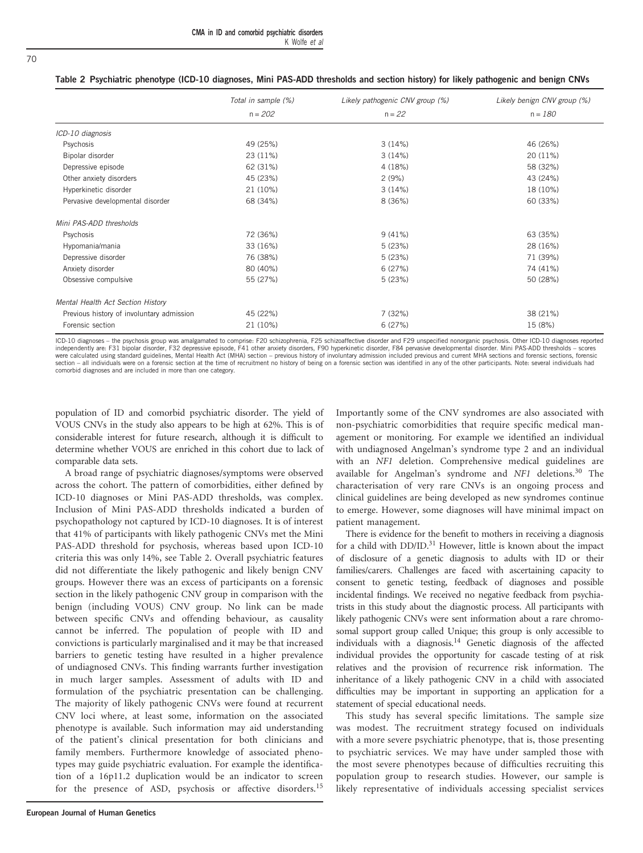<span id="page-4-0"></span>

| Table 2 Psychiatric phenotype (ICD-10 diagnoses, Mini PAS-ADD thresholds and section history) for likely pathogenic and benign CNVs |  |  |
|-------------------------------------------------------------------------------------------------------------------------------------|--|--|
|-------------------------------------------------------------------------------------------------------------------------------------|--|--|

|                                           | Total in sample (%) | Likely pathogenic CNV group (%) | Likely benign CNV group (%) |
|-------------------------------------------|---------------------|---------------------------------|-----------------------------|
|                                           | $n = 202$           | $n = 22$                        | $n = 180$                   |
| ICD-10 diagnosis                          |                     |                                 |                             |
| Psychosis                                 | 49 (25%)            | 3(14%)                          | 46 (26%)                    |
| Bipolar disorder                          | 23 (11%)            | 3(14%)                          | 20 (11%)                    |
| Depressive episode                        | 62 (31%)            | 4 (18%)                         | 58 (32%)                    |
| Other anxiety disorders                   | 45 (23%)            | 2(9%)                           | 43 (24%)                    |
| Hyperkinetic disorder                     | 21 (10%)            | 3(14%)                          | 18 (10%)                    |
| Pervasive developmental disorder          | 68 (34%)            | 8 (36%)                         | 60 (33%)                    |
| Mini PAS-ADD thresholds                   |                     |                                 |                             |
| Psychosis                                 | 72 (36%)            | 9(41%)                          | 63 (35%)                    |
| Hypomania/mania                           | 33 (16%)            | 5(23%)                          | 28 (16%)                    |
| Depressive disorder                       | 76 (38%)            | 5(23%)                          | 71 (39%)                    |
| Anxiety disorder                          | 80 (40%)            | 6(27%)                          | 74 (41%)                    |
| Obsessive compulsive                      | 55 (27%)            | 5(23%)                          | 50 (28%)                    |
| Mental Health Act Section History         |                     |                                 |                             |
| Previous history of involuntary admission | 45 (22%)            | 7 (32%)                         | 38 (21%)                    |
| Forensic section                          | 21 (10%)            | 6(27%)                          | 15 (8%)                     |

ICD-10 diagnoses – the psychosis group was amalgamated to comprise: F20 schizophrenia, F25 schizoaffective disorder and F29 unspecified nonorganic psychosis. Other ICD-10 diagnoses reported independently are: F31 bipolar disorder, F32 depressive episode, F41 other anxiety disorders, F90 hyperkinetic disorder, F84 pervasive developmental disorder. Mini PAS-ADD thresholds – scores were calculated using standard guidelines, Mental Health Act (MHA) section – previous history of involuntary admission included previous and current MHA sections and forensic sections, forensic section – all individuals were on a forensic section at the time of recruitment no history of being on a forensic section was identified in any of the other participants. Note: several individuals had comorbid diagnoses and are included in more than one category.

population of ID and comorbid psychiatric disorder. The yield of VOUS CNVs in the study also appears to be high at 62%. This is of considerable interest for future research, although it is difficult to determine whether VOUS are enriched in this cohort due to lack of comparable data sets.

A broad range of psychiatric diagnoses/symptoms were observed across the cohort. The pattern of comorbidities, either defined by ICD-10 diagnoses or Mini PAS-ADD thresholds, was complex. Inclusion of Mini PAS-ADD thresholds indicated a burden of psychopathology not captured by ICD-10 diagnoses. It is of interest that 41% of participants with likely pathogenic CNVs met the Mini PAS-ADD threshold for psychosis, whereas based upon ICD-10 criteria this was only 14%, see Table 2. Overall psychiatric features did not differentiate the likely pathogenic and likely benign CNV groups. However there was an excess of participants on a forensic section in the likely pathogenic CNV group in comparison with the benign (including VOUS) CNV group. No link can be made between specific CNVs and offending behaviour, as causality cannot be inferred. The population of people with ID and convictions is particularly marginalised and it may be that increased barriers to genetic testing have resulted in a higher prevalence of undiagnosed CNVs. This finding warrants further investigation in much larger samples. Assessment of adults with ID and formulation of the psychiatric presentation can be challenging. The majority of likely pathogenic CNVs were found at recurrent CNV loci where, at least some, information on the associated phenotype is available. Such information may aid understanding of the patient's clinical presentation for both clinicians and family members. Furthermore knowledge of associated phenotypes may guide psychiatric evaluation. For example the identification of a 16p11.2 duplication would be an indicator to screen for the presence of ASD, psychosis or affective disorders.<sup>[15](#page-5-0)</sup>

Importantly some of the CNV syndromes are also associated with non-psychiatric comorbidities that require specific medical management or monitoring. For example we identified an individual with undiagnosed Angelman's syndrome type 2 and an individual with an NF1 deletion. Comprehensive medical guidelines are available for Angelman's syndrome and  $NFI$  deletions.<sup>[30](#page-6-0)</sup> The characterisation of very rare CNVs is an ongoing process and clinical guidelines are being developed as new syndromes continue to emerge. However, some diagnoses will have minimal impact on patient management.

There is evidence for the benefit to mothers in receiving a diagnosis for a child with DD/ID[.31](#page-6-0) However, little is known about the impact of disclosure of a genetic diagnosis to adults with ID or their families/carers. Challenges are faced with ascertaining capacity to consent to genetic testing, feedback of diagnoses and possible incidental findings. We received no negative feedback from psychiatrists in this study about the diagnostic process. All participants with likely pathogenic CNVs were sent information about a rare chromosomal support group called Unique; this group is only accessible to individuals with a diagnosis[.14](#page-5-0) Genetic diagnosis of the affected individual provides the opportunity for cascade testing of at risk relatives and the provision of recurrence risk information. The inheritance of a likely pathogenic CNV in a child with associated difficulties may be important in supporting an application for a statement of special educational needs.

This study has several specific limitations. The sample size was modest. The recruitment strategy focused on individuals with a more severe psychiatric phenotype, that is, those presenting to psychiatric services. We may have under sampled those with the most severe phenotypes because of difficulties recruiting this population group to research studies. However, our sample is likely representative of individuals accessing specialist services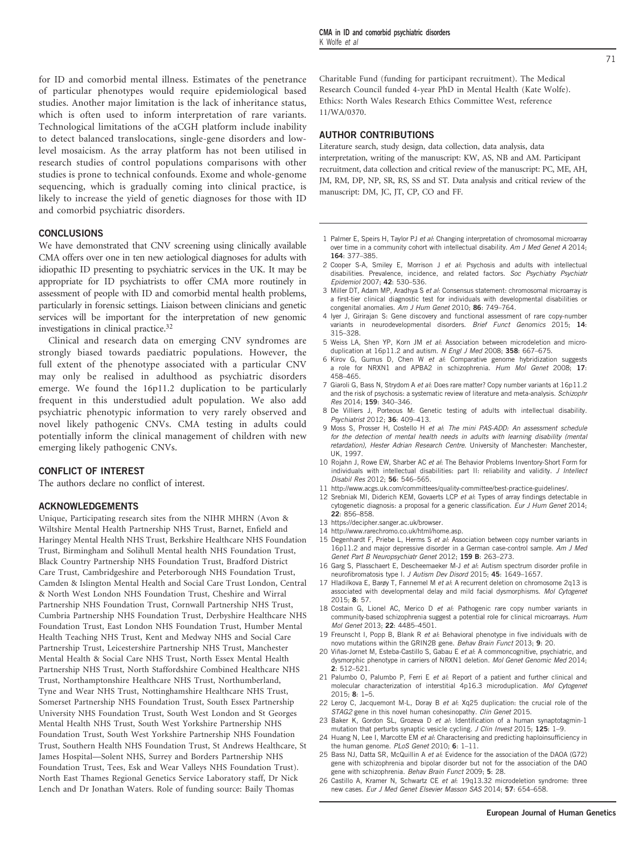<span id="page-5-0"></span>for ID and comorbid mental illness. Estimates of the penetrance of particular phenotypes would require epidemiological based studies. Another major limitation is the lack of inheritance status, which is often used to inform interpretation of rare variants. Technological limitations of the aCGH platform include inability to detect balanced translocations, single-gene disorders and lowlevel mosaicism. As the array platform has not been utilised in research studies of control populations comparisons with other studies is prone to technical confounds. Exome and whole-genome sequencing, which is gradually coming into clinical practice, is likely to increase the yield of genetic diagnoses for those with ID and comorbid psychiatric disorders.

#### **CONCLUSIONS**

We have demonstrated that CNV screening using clinically available CMA offers over one in ten new aetiological diagnoses for adults with idiopathic ID presenting to psychiatric services in the UK. It may be appropriate for ID psychiatrists to offer CMA more routinely in assessment of people with ID and comorbid mental health problems, particularly in forensic settings. Liaison between clinicians and genetic services will be important for the interpretation of new genomic investigations in clinical practice.[32](#page-6-0)

Clinical and research data on emerging CNV syndromes are strongly biased towards paediatric populations. However, the full extent of the phenotype associated with a particular CNV may only be realised in adulthood as psychiatric disorders emerge. We found the 16p11.2 duplication to be particularly frequent in this understudied adult population. We also add psychiatric phenotypic information to very rarely observed and novel likely pathogenic CNVs. CMA testing in adults could potentially inform the clinical management of children with new emerging likely pathogenic CNVs.

### CONFLICT OF INTEREST

The authors declare no conflict of interest.

#### ACKNOWLEDGEMENTS

Unique, Participating research sites from the NIHR MHRN (Avon & Wiltshire Mental Health Partnership NHS Trust, Barnet, Enfield and Haringey Mental Health NHS Trust, Berkshire Healthcare NHS Foundation Trust, Birmingham and Solihull Mental health NHS Foundation Trust, Black Country Partnership NHS Foundation Trust, Bradford District Care Trust, Cambridgeshire and Peterborough NHS Foundation Trust, Camden & Islington Mental Health and Social Care Trust London, Central & North West London NHS Foundation Trust, Cheshire and Wirral Partnership NHS Foundation Trust, Cornwall Partnership NHS Trust, Cumbria Partnership NHS Foundation Trust, Derbyshire Healthcare NHS Foundation Trust, East London NHS Foundation Trust, Humber Mental Health Teaching NHS Trust, Kent and Medway NHS and Social Care Partnership Trust, Leicestershire Partnership NHS Trust, Manchester Mental Health & Social Care NHS Trust, North Essex Mental Health Partnership NHS Trust, North Staffordshire Combined Healthcare NHS Trust, Northamptonshire Healthcare NHS Trust, Northumberland, Tyne and Wear NHS Trust, Nottinghamshire Healthcare NHS Trust, Somerset Partnership NHS Foundation Trust, South Essex Partnership University NHS Foundation Trust, South West London and St Georges Mental Health NHS Trust, South West Yorkshire Partnership NHS Foundation Trust, South West Yorkshire Partnership NHS Foundation Trust, Southern Health NHS Foundation Trust, St Andrews Healthcare, St James Hospital—Solent NHS, Surrey and Borders Partnership NHS Foundation Trust, Tees, Esk and Wear Valleys NHS Foundation Trust). North East Thames Regional Genetics Service Laboratory staff, Dr Nick Lench and Dr Jonathan Waters. Role of funding source: Baily Thomas

Charitable Fund (funding for participant recruitment). The Medical Research Council funded 4-year PhD in Mental Health (Kate Wolfe). Ethics: North Wales Research Ethics Committee West, reference 11/WA/0370.

#### AUTHOR CONTRIBUTIONS

Literature search, study design, data collection, data analysis, data interpretation, writing of the manuscript: KW, AS, NB and AM. Participant recruitment, data collection and critical review of the manuscript: PC, ME, AH, JM, RM, DP, NP, SR, RS, SS and ST. Data analysis and critical review of the manuscript: DM, JC, JT, CP, CO and FF.

- 1 Palmer E, Speirs H, Taylor PJ et al: Changing interpretation of chromosomal microarray over time in a community cohort with intellectual disability. Am J Med Genet A 2014; 164: 377–385.
- 2 Cooper S-A, Smiley E, Morrison J et al: Psychosis and adults with intellectual disabilities. Prevalence, incidence, and related factors. Soc Psychiatry Psychiatr Epidemiol 2007; 42: 530–536.
- 3 Miller DT, Adam MP, Aradhya S et al: Consensus statement: chromosomal microarray is a first-tier clinical diagnostic test for individuals with developmental disabilities or congenital anomalies. Am J Hum Genet 2010; 86: 749–764.
- 4 Iyer J, Girirajan S: Gene discovery and functional assessment of rare copy-number variants in neurodevelopmental disorders. Brief Funct Genomics 2015; 14: 315–328.
- 5 Weiss LA, Shen YP, Korn JM et al: Association between microdeletion and microduplication at 16p11.2 and autism. N Engl J Med 2008; 358: 667-675.
- 6 Kirov G, Gumus D, Chen W et al: Comparative genome hybridization suggests a role for NRXN1 and APBA2 in schizophrenia. Hum Mol Genet 2008; 17: 458–465.
- 7 Giaroli G, Bass N, Strydom A et al: Does rare matter? Copy number variants at 16p11.2 and the risk of psychosis: a systematic review of literature and meta-analysis. Schizophr Res 2014; 159: 340–346.
- 8 De Villiers J, Porteous M: Genetic testing of adults with intellectual disability. Psychiatrist 2012; 36: 409–413.
- 9 Moss S, Prosser H, Costello H et al: The mini PAS-ADD: An assessment schedule for the detection of mental health needs in adults with learning disability (mental retardation), Hester Adrian Research Centre. University of Manchester: Manchester, UK, 1997.
- 10 Rojahn J, Rowe EW, Sharber AC et al: The Behavior Problems Inventory-Short Form for individuals with intellectual disabilities: part II: reliability and validity. J Intellect Disabil Res 2012; 56: 546–565.
- 11 [http://www.acgs.uk.com/committees/quality-committee/best-practice-guidelines/.](http://www.acgs.uk.com/committees/quality-committee/best-practice-guidelines/)
- 12 Srebniak MI, Diderich KEM, Govaerts LCP et al: Types of array findings detectable in cytogenetic diagnosis: a proposal for a generic classification. Eur J Hum Genet 2014; 22: 856–858.
- 13 [https://decipher.sanger.ac.uk/browser.](https://decipher.sanger.ac.uk/browser)
- 14<http://www.rarechromo.co.uk/html/home.asp>.
- 15 Degenhardt F, Priebe L, Herms S et al: Association between copy number variants in 16p11.2 and major depressive disorder in a German case-control sample. Am J Med Genet Part B Neuropsychiatr Genet 2012; 159 B: 263–273.
- 16 Garg S, Plasschaert E, Descheemaeker M-J et al: Autism spectrum disorder profile in neurofibromatosis type I. J Autism Dev Disord 2015; 45: 1649–1657.
- Hladilkova E, Barøy T, Fannemel M et al: A recurrent deletion on chromosome 2q13 is associated with developmental delay and mild facial dysmorphisms. Mol Cytogenet 2015; 8: 57.
- 18 Costain G, Lionel AC, Merico D et al: Pathogenic rare copy number variants in community-based schizophrenia suggest a potential role for clinical microarrays. Hum Mol Genet 2013; 22: 4485–4501.
- 19 Freunscht I, Popp B, Blank R et al: Behavioral phenotype in five individuals with de novo mutations within the GRIN2B gene. Behav Brain Funct 2013; 9: 20.
- 20 Viñas-Jornet M, Esteba-Castillo S, Gabau E et al: A commoncognitive, psychiatric, and dysmorphic phenotype in carriers of NRXN1 deletion. Mol Genet Genomic Med 2014; 2: 512–521.
- 21 Palumbo O, Palumbo P, Ferri E et al: Report of a patient and further clinical and molecular characterization of interstitial 4p16.3 microduplication. Mol Cytogenet 2015; 8: 1–5.
- 22 Leroy C, Jacquemont M-L, Doray B et al: Xq25 duplication: the crucial role of the STAG2 gene in this novel human cohesinopathy. Clin Genet 2015.
- 23 Baker K, Gordon SL, Grozeva D et al: Identification of a human synaptotagmin-1 mutation that perturbs synaptic vesicle cycling. J Clin Invest 2015; 125: 1-9.
- 24 Huang N, Lee I, Marcotte EM et al: Characterising and predicting haploinsufficiency in the human genome. PLoS Genet 2010; 6: 1-11.
- 25 Bass NJ, Datta SR, McQuillin A et al: Evidence for the association of the DAOA (G72) gene with schizophrenia and bipolar disorder but not for the association of the DAO gene with schizophrenia. Behav Brain Funct 2009; 5: 28.
- 26 Castillo A, Kramer N, Schwartz CE et al: 19q13.32 microdeletion syndrome: three new cases. Eur J Med Genet Elsevier Masson SAS 2014; 57: 654–658.